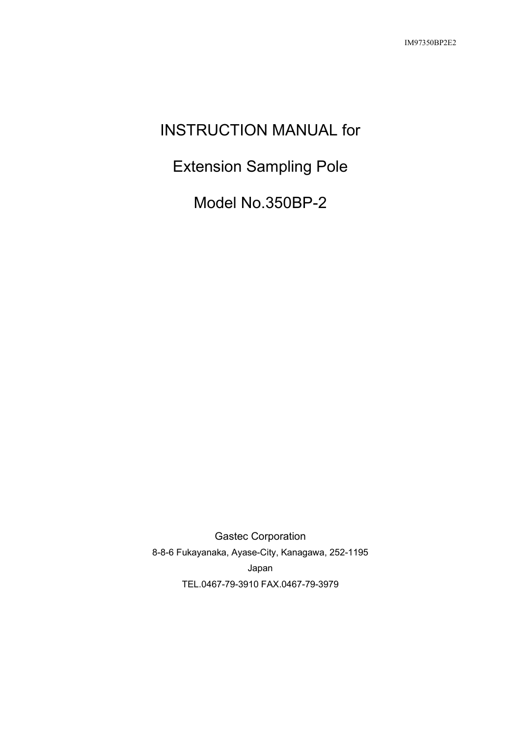# INSTRUCTION MANUAL for

Extension Sampling Pole

Model No.350BP-2

Gastec Corporation 8-8-6 Fukayanaka, Ayase-City, Kanagawa, 252-1195 Japan TEL.0467-79-3910 FAX.0467-79-3979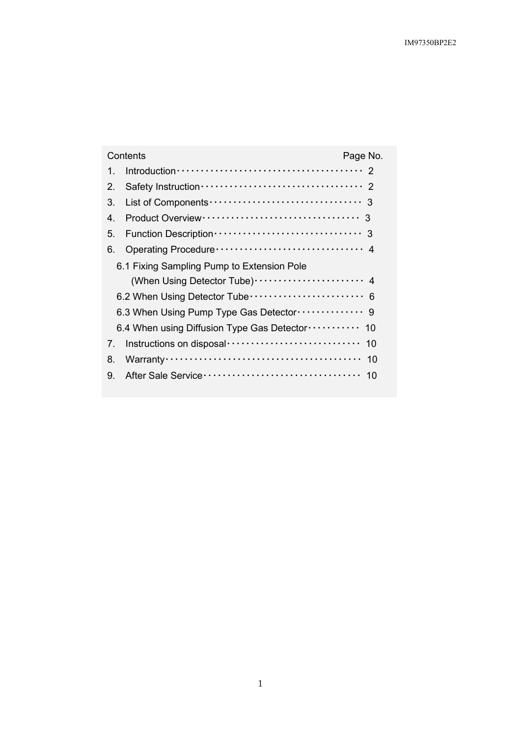| Contents<br>Page No.                                         |                                                        |  |  |  |
|--------------------------------------------------------------|--------------------------------------------------------|--|--|--|
| 1                                                            |                                                        |  |  |  |
| $2_{-}$                                                      |                                                        |  |  |  |
| 3.                                                           |                                                        |  |  |  |
| 4                                                            |                                                        |  |  |  |
| 5.                                                           |                                                        |  |  |  |
| 6.                                                           |                                                        |  |  |  |
| 6.1 Fixing Sampling Pump to Extension Pole                   |                                                        |  |  |  |
|                                                              | (When Using Detector Tube) ······················· 4   |  |  |  |
| 6.2 When Using Detector Tube ························· 6     |                                                        |  |  |  |
|                                                              | 6.3 When Using Pump Type Gas Detector ·············· 9 |  |  |  |
| 6.4 When using Diffusion Type Gas Detector ···········<br>10 |                                                        |  |  |  |
| 7.                                                           | Instructions on disposal<br>10                         |  |  |  |
| 8.                                                           | 10                                                     |  |  |  |
| 9.                                                           | 10                                                     |  |  |  |
|                                                              |                                                        |  |  |  |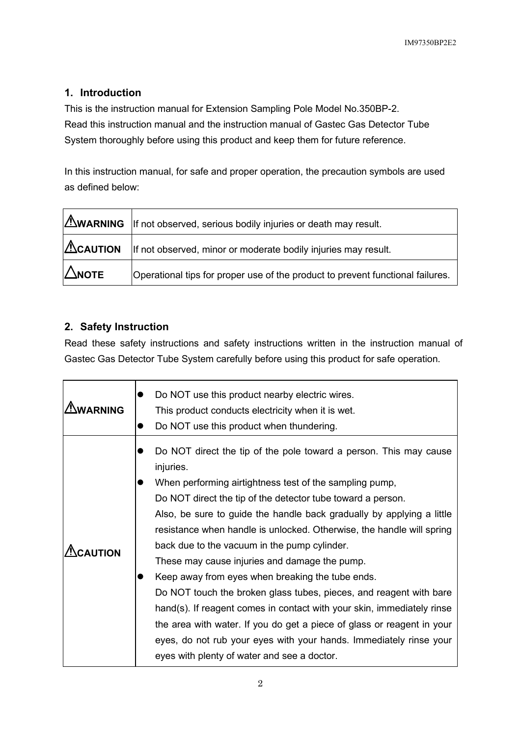# **1. Introduction**

This is the instruction manual for Extension Sampling Pole Model No.350BP-2. Read this instruction manual and the instruction manual of Gastec Gas Detector Tube System thoroughly before using this product and keep them for future reference.

In this instruction manual, for safe and proper operation, the precaution symbols are used as defined below:

|               | $\Delta$ WARNING $\parallel$ If not observed, serious bodily injuries or death may result.  |
|---------------|---------------------------------------------------------------------------------------------|
|               | $\Delta$ CAUTION $\parallel$ If not observed, minor or moderate bodily injuries may result. |
| $\Delta$ NOTE | Operational tips for proper use of the product to prevent functional failures.              |

## **2. Safety Instruction**

Read these safety instructions and safety instructions written in the instruction manual of Gastec Gas Detector Tube System carefully before using this product for safe operation.

| <b>WARNING</b> | Do NOT use this product nearby electric wires.<br>This product conducts electricity when it is wet.<br>Do NOT use this product when thundering.                                                                                                                                                                                                                                                                                                                                                                                                                                                                                                                                                                                                                                                                                                                |
|----------------|----------------------------------------------------------------------------------------------------------------------------------------------------------------------------------------------------------------------------------------------------------------------------------------------------------------------------------------------------------------------------------------------------------------------------------------------------------------------------------------------------------------------------------------------------------------------------------------------------------------------------------------------------------------------------------------------------------------------------------------------------------------------------------------------------------------------------------------------------------------|
| <b>CAUTION</b> | Do NOT direct the tip of the pole toward a person. This may cause<br>injuries.<br>When performing airtightness test of the sampling pump,<br>Do NOT direct the tip of the detector tube toward a person.<br>Also, be sure to guide the handle back gradually by applying a little<br>resistance when handle is unlocked. Otherwise, the handle will spring<br>back due to the vacuum in the pump cylinder.<br>These may cause injuries and damage the pump.<br>Keep away from eyes when breaking the tube ends.<br>Do NOT touch the broken glass tubes, pieces, and reagent with bare<br>hand(s). If reagent comes in contact with your skin, immediately rinse<br>the area with water. If you do get a piece of glass or reagent in your<br>eyes, do not rub your eyes with your hands. Immediately rinse your<br>eyes with plenty of water and see a doctor. |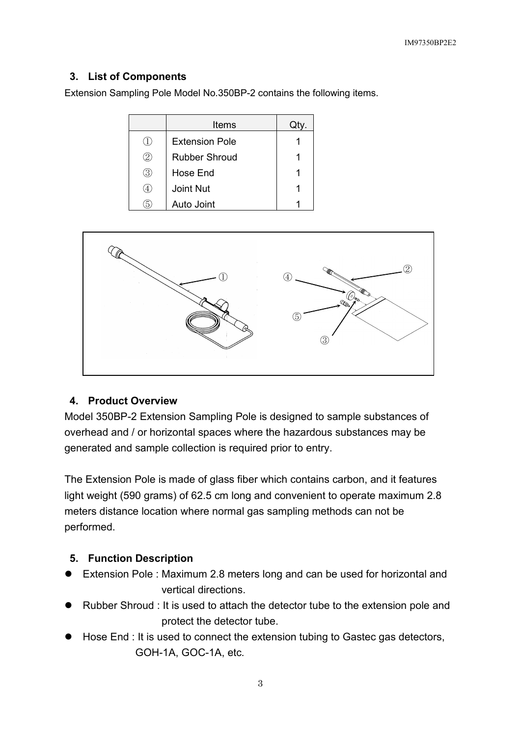#### **3. List of Components**

Extension Sampling Pole Model No.350BP-2 contains the following items.

|                  | Items                 |  |
|------------------|-----------------------|--|
|                  | <b>Extension Pole</b> |  |
| 2.               | Rubber Shroud         |  |
| 3                | Hose End              |  |
| $\overline{4}$ . | <b>Joint Nut</b>      |  |
| h                | Auto Joint            |  |



#### **4. Product Overview**

Model 350BP-2 Extension Sampling Pole is designed to sample substances of overhead and / or horizontal spaces where the hazardous substances may be generated and sample collection is required prior to entry.

The Extension Pole is made of glass fiber which contains carbon, and it features light weight (590 grams) of 62.5 cm long and convenient to operate maximum 2.8 meters distance location where normal gas sampling methods can not be performed.

## **5. Function Description**

- Extension Pole : Maximum 2.8 meters long and can be used for horizontal and vertical directions.
- Rubber Shroud : It is used to attach the detector tube to the extension pole and protect the detector tube.
- Hose End : It is used to connect the extension tubing to Gastec gas detectors, GOH-1A, GOC-1A, etc.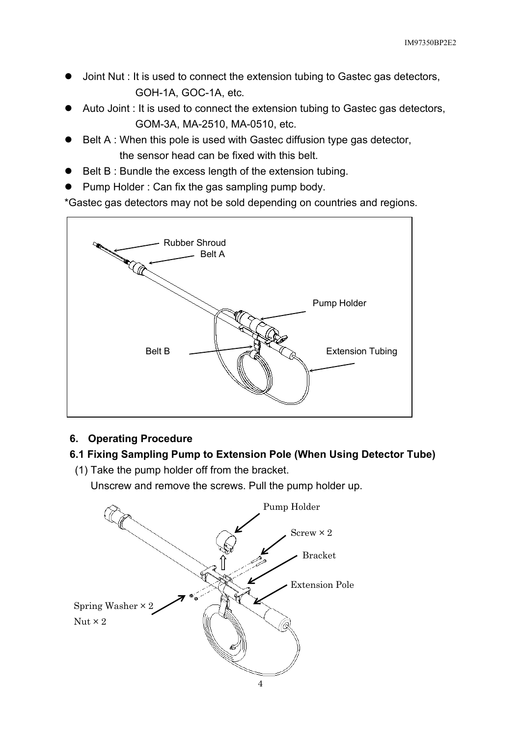- Joint Nut : It is used to connect the extension tubing to Gastec gas detectors, GOH-1A, GOC-1A, etc.
- Auto Joint : It is used to connect the extension tubing to Gastec gas detectors, GOM-3A, MA-2510, MA-0510, etc.
- Belt A : When this pole is used with Gastec diffusion type gas detector, the sensor head can be fixed with this belt.
- Belt B : Bundle the excess length of the extension tubing.
- Pump Holder : Can fix the gas sampling pump body.

\*Gastec gas detectors may not be sold depending on countries and regions.



## **6. Operating Procedure**

## **6.1 Fixing Sampling Pump to Extension Pole (When Using Detector Tube)**

(1) Take the pump holder off from the bracket.

Unscrew and remove the screws. Pull the pump holder up.

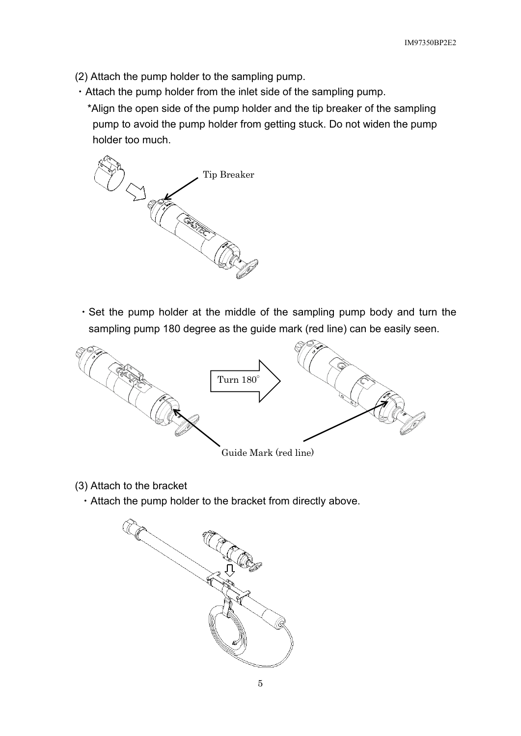- (2) Attach the pump holder to the sampling pump.
- ・Attach the pump holder from the inlet side of the sampling pump.

\*Align the open side of the pump holder and the tip breaker of the sampling pump to avoid the pump holder from getting stuck. Do not widen the pump holder too much.



・Set the pump holder at the middle of the sampling pump body and turn the sampling pump 180 degree as the guide mark (red line) can be easily seen.



- Guide Mark (red line)
- (3) Attach to the bracket
	- ・Attach the pump holder to the bracket from directly above.

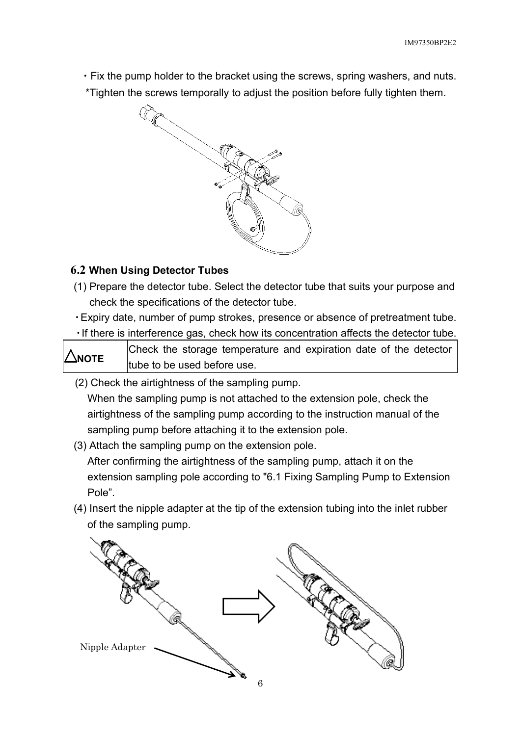・Fix the pump holder to the bracket using the screws, spring washers, and nuts. \*Tighten the screws temporally to adjust the position before fully tighten them.



# **6.2 When Using Detector Tubes**

- (1) Prepare the detector tube. Select the detector tube that suits your purpose and check the specifications of the detector tube.
- ・Expiry date, number of pump strokes, presence or absence of pretreatment tube.

・If there is interference gas, check how its concentration affects the detector tube.

**NOTE** Check the storage temperature and expiration date of the detector tube to be used before use.

(2) Check the airtightness of the sampling pump.

When the sampling pump is not attached to the extension pole, check the airtightness of the sampling pump according to the instruction manual of the sampling pump before attaching it to the extension pole.

(3) Attach the sampling pump on the extension pole.

After confirming the airtightness of the sampling pump, attach it on the extension sampling pole according to "6.1 Fixing Sampling Pump to Extension Pole".

(4) Insert the nipple adapter at the tip of the extension tubing into the inlet rubber of the sampling pump.

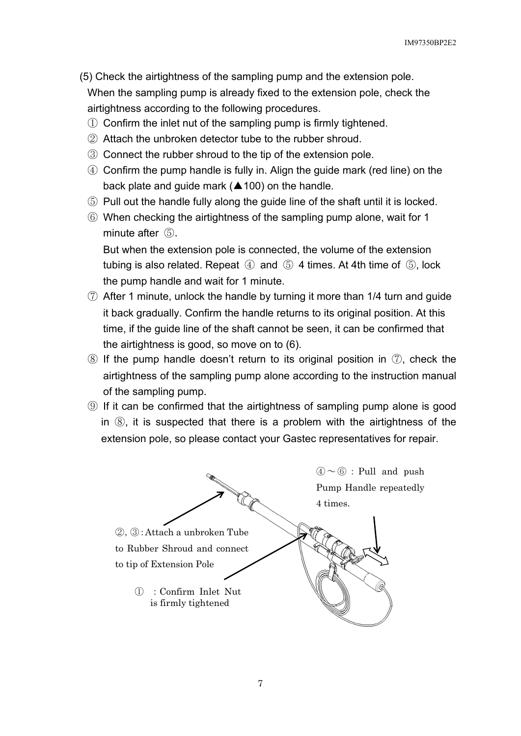- (5) Check the airtightness of the sampling pump and the extension pole. When the sampling pump is already fixed to the extension pole, check the airtightness according to the following procedures.
	- ① Confirm the inlet nut of the sampling pump is firmly tightened.
	- ② Attach the unbroken detector tube to the rubber shroud.
	- ③ Connect the rubber shroud to the tip of the extension pole.
	- ④ Confirm the pump handle is fully in. Align the guide mark (red line) on the back plate and guide mark ( $\triangle$  100) on the handle.
	- ⑤ Pull out the handle fully along the guide line of the shaft until it is locked.
	- ⑥ When checking the airtightness of the sampling pump alone, wait for 1 minute after  $(5)$ .

But when the extension pole is connected, the volume of the extension tubing is also related. Repeat  $\circled{4}$  and  $\circled{5}$  4 times. At 4th time of  $\circled{5}$ , lock the pump handle and wait for 1 minute.

- ⑦ After 1 minute, unlock the handle by turning it more than 1/4 turn and guide it back gradually. Confirm the handle returns to its original position. At this time, if the guide line of the shaft cannot be seen, it can be confirmed that the airtightness is good, so move on to (6).
- $\circledR$  If the pump handle doesn't return to its original position in  $\circled{T}$ , check the airtightness of the sampling pump alone according to the instruction manual of the sampling pump.
- ⑨ If it can be confirmed that the airtightness of sampling pump alone is good in ⑧, it is suspected that there is a problem with the airtightness of the extension pole, so please contact your Gastec representatives for repair.

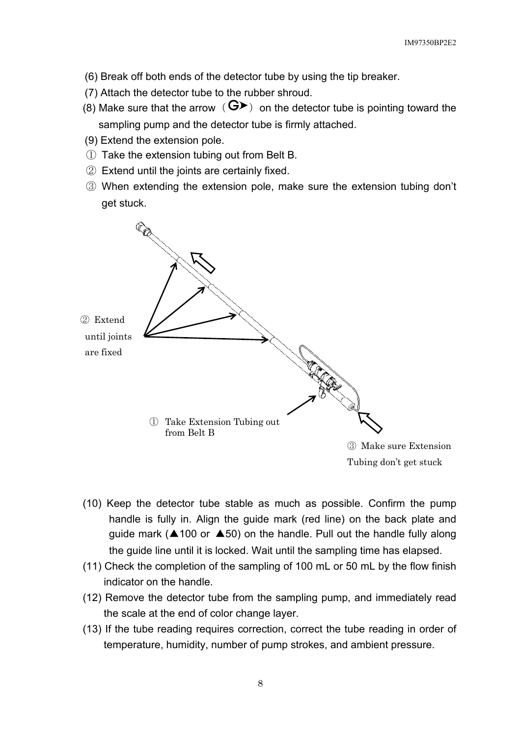- (6) Break off both ends of the detector tube by using the tip breaker.
- (7) Attach the detector tube to the rubber shroud.
- (8) Make sure that the arrow ( $\mathbf{G}$ ) on the detector tube is pointing toward the sampling pump and the detector tube is firmly attached.
- (9) Extend the extension pole.
- ① Take the extension tubing out from Belt B.
- ② Extend until the joints are certainly fixed.
- ③ When extending the extension pole, make sure the extension tubing don't get stuck.



- (10) Keep the detector tube stable as much as possible. Confirm the pump handle is fully in. Align the guide mark (red line) on the back plate and guide mark (▲100 or ▲50) on the handle. Pull out the handle fully along the guide line until it is locked. Wait until the sampling time has elapsed.
- (11) Check the completion of the sampling of 100 mL or 50 mL by the flow finish indicator on the handle.
- (12) Remove the detector tube from the sampling pump, and immediately read the scale at the end of color change layer.
- (13) If the tube reading requires correction, correct the tube reading in order of temperature, humidity, number of pump strokes, and ambient pressure.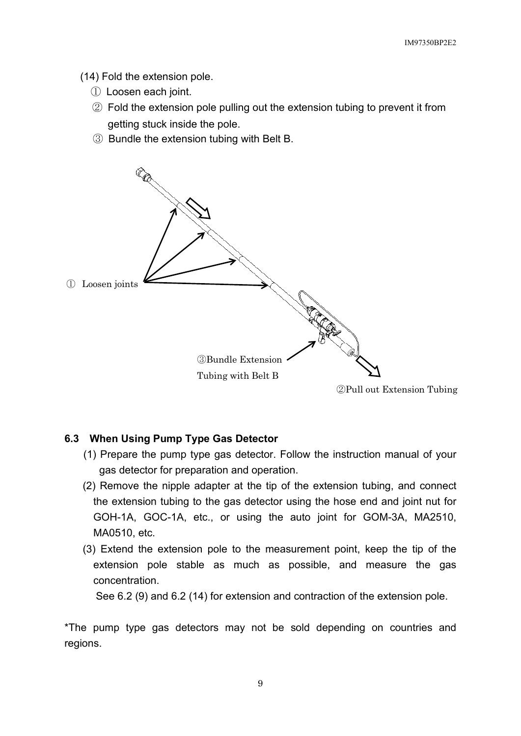(14) Fold the extension pole.

- ① Loosen each joint.
- ② Fold the extension pole pulling out the extension tubing to prevent it from getting stuck inside the pole.
- ③ Bundle the extension tubing with Belt B.



#### **6.3 When Using Pump Type Gas Detector**

- (1) Prepare the pump type gas detector. Follow the instruction manual of your gas detector for preparation and operation.
- (2) Remove the nipple adapter at the tip of the extension tubing, and connect the extension tubing to the gas detector using the hose end and joint nut for GOH-1A, GOC-1A, etc., or using the auto joint for GOM-3A, MA2510, MA0510, etc.
- (3) Extend the extension pole to the measurement point, keep the tip of the extension pole stable as much as possible, and measure the gas concentration.

See 6.2 (9) and 6.2 (14) for extension and contraction of the extension pole.

\*The pump type gas detectors may not be sold depending on countries and regions.